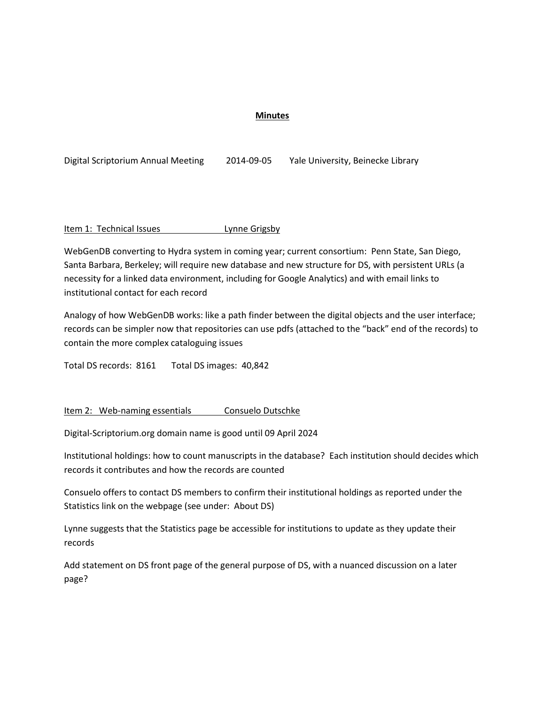## **Minutes**

| Digital Scriptorium Annual Meeting | 2014-09-05 | Yale University, Beinecke Library |
|------------------------------------|------------|-----------------------------------|
|------------------------------------|------------|-----------------------------------|

Item 1: Technical Issues Lynne Grigsby

WebGenDB converting to Hydra system in coming year; current consortium: Penn State, San Diego, Santa Barbara, Berkeley; will require new database and new structure for DS, with persistent URLs (a necessity for a linked data environment, including for Google Analytics) and with email links to institutional contact for each record

Analogy of how WebGenDB works: like a path finder between the digital objects and the user interface; records can be simpler now that repositories can use pdfs (attached to the "back" end of the records) to contain the more complex cataloguing issues

Total DS records: 8161 Total DS images: 40,842

Item 2: Web-naming essentials Consuelo Dutschke

Digital-Scriptorium.org domain name is good until 09 April 2024

Institutional holdings: how to count manuscripts in the database? Each institution should decides which records it contributes and how the records are counted

Consuelo offers to contact DS members to confirm their institutional holdings as reported under the Statistics link on the webpage (see under: About DS)

Lynne suggests that the Statistics page be accessible for institutions to update as they update their records

Add statement on DS front page of the general purpose of DS, with a nuanced discussion on a later page?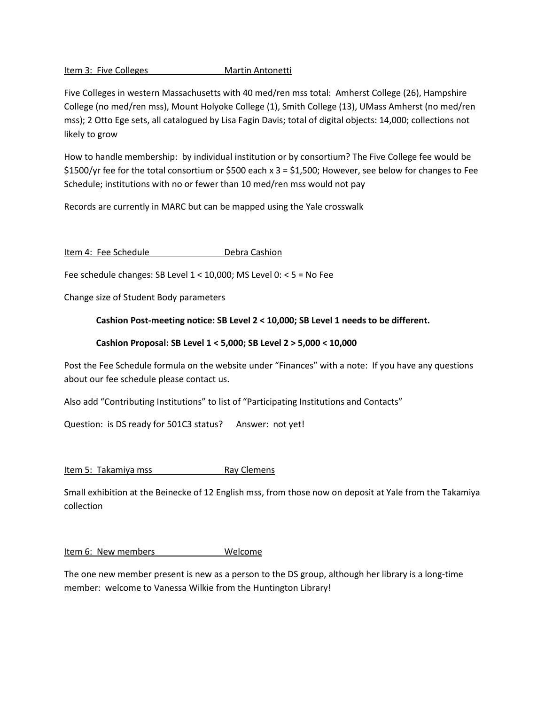Item 3: Five Colleges Martin Antonetti

Five Colleges in western Massachusetts with 40 med/ren mss total: Amherst College (26), Hampshire College (no med/ren mss), Mount Holyoke College (1), Smith College (13), UMass Amherst (no med/ren mss); 2 Otto Ege sets, all catalogued by Lisa Fagin Davis; total of digital objects: 14,000; collections not likely to grow

How to handle membership: by individual institution or by consortium? The Five College fee would be \$1500/yr fee for the total consortium or \$500 each x  $3 = $1,500$ ; However, see below for changes to Fee Schedule; institutions with no or fewer than 10 med/ren mss would not pay

Records are currently in MARC but can be mapped using the Yale crosswalk

Item 4: Fee Schedule Debra Cashion

Fee schedule changes: SB Level 1 < 10,000; MS Level 0: < 5 = No Fee

Change size of Student Body parameters

## **Cashion Post-meeting notice: SB Level 2 < 10,000; SB Level 1 needs to be different.**

## **Cashion Proposal: SB Level 1 < 5,000; SB Level 2 > 5,000 < 10,000**

Post the Fee Schedule formula on the website under "Finances" with a note: If you have any questions about our fee schedule please contact us.

Also add "Contributing Institutions" to list of "Participating Institutions and Contacts"

Question: is DS ready for 501C3 status? Answer: not yet!

Item 5: Takamiya mss Ray Clemens

Small exhibition at the Beinecke of 12 English mss, from those now on deposit at Yale from the Takamiya collection

Item 6: New members Welcome

The one new member present is new as a person to the DS group, although her library is a long-time member: welcome to Vanessa Wilkie from the Huntington Library!